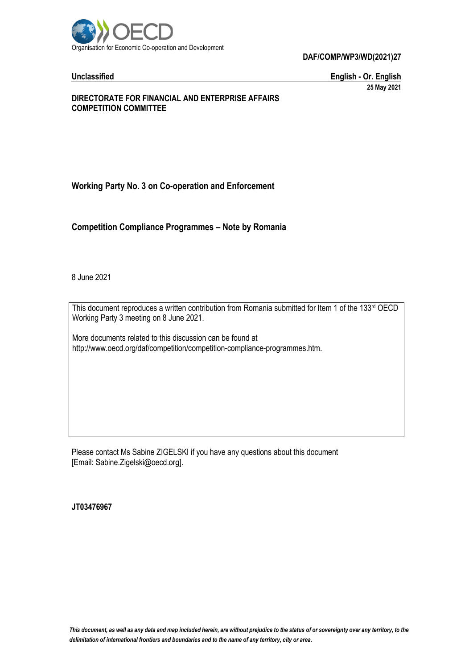

**Unclassified English - Or. English 25 May 2021**

#### **DIRECTORATE FOR FINANCIAL AND ENTERPRISE AFFAIRS COMPETITION COMMITTEE**

# **Working Party No. 3 on Co-operation and Enforcement**

**Competition Compliance Programmes – Note by Romania**

8 June 2021

This document reproduces a written contribution from Romania submitted for Item 1 of the 133rd OECD Working Party 3 meeting on 8 June 2021.

More documents related to this discussion can be found at http://www.oecd.org/daf/competition/competition-compliance-programmes.htm.

Please contact Ms Sabine ZIGELSKI if you have any questions about this document [Email: Sabine.Zigelski@oecd.org].

**JT03476967**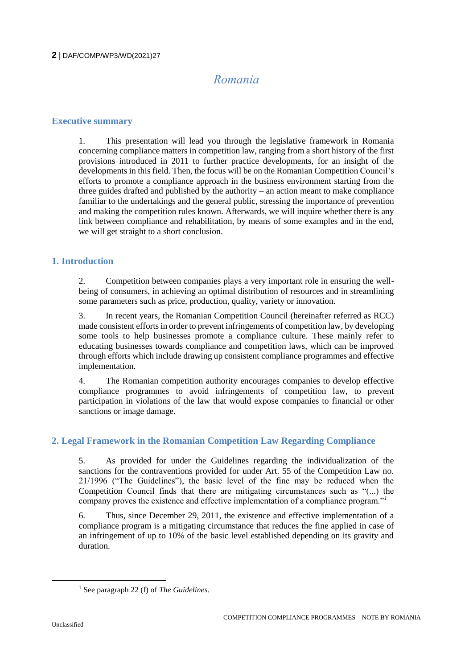# *Romania*

#### **Executive summary**

1. This presentation will lead you through the legislative framework in Romania concerning compliance matters in competition law, ranging from a short history of the first provisions introduced in 2011 to further practice developments, for an insight of the developments in this field. Then, the focus will be on the Romanian Competition Council's efforts to promote a compliance approach in the business environment starting from the three guides drafted and published by the authority – an action meant to make compliance familiar to the undertakings and the general public, stressing the importance of prevention and making the competition rules known. Afterwards, we will inquire whether there is any link between compliance and rehabilitation, by means of some examples and in the end, we will get straight to a short conclusion.

### **1. Introduction**

2. Competition between companies plays a very important role in ensuring the wellbeing of consumers, in achieving an optimal distribution of resources and in streamlining some parameters such as price, production, quality, variety or innovation.

3. In recent years, the Romanian Competition Council (hereinafter referred as RCC) made consistent efforts in order to prevent infringements of competition law, by developing some tools to help businesses promote a compliance culture. These mainly refer to educating businesses towards compliance and competition laws, which can be improved through efforts which include drawing up consistent compliance programmes and effective implementation.

4. The Romanian competition authority encourages companies to develop effective compliance programmes to avoid infringements of competition law, to prevent participation in violations of the law that would expose companies to financial or other sanctions or image damage.

### **2. Legal Framework in the Romanian Competition Law Regarding Compliance**

5. As provided for under the Guidelines regarding the individualization of the sanctions for the contraventions provided for under Art. 55 of the Competition Law no. 21/1996 ("The Guidelines"), the basic level of the fine may be reduced when the Competition Council finds that there are mitigating circumstances such as "(...) the company proves the existence and effective implementation of a compliance program."*<sup>1</sup>*

6. Thus, since December 29, 2011, the existence and effective implementation of a compliance program is a mitigating circumstance that reduces the fine applied in case of an infringement of up to 10% of the basic level established depending on its gravity and duration.

<sup>1</sup> See paragraph 22 (f) of *The Guidelines.*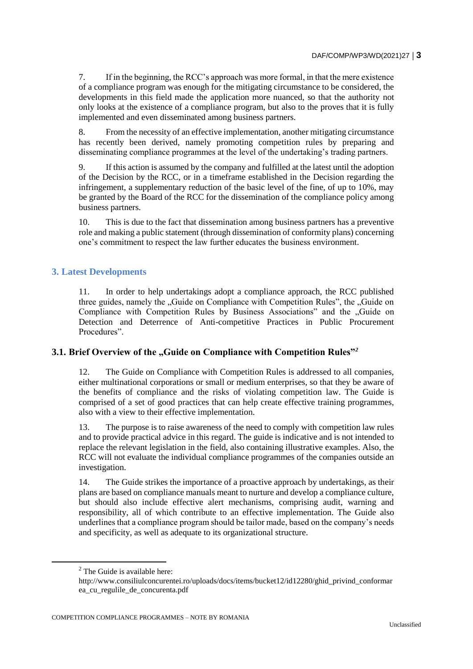7. If in the beginning, the RCC's approach was more formal, in that the mere existence of a compliance program was enough for the mitigating circumstance to be considered, the developments in this field made the application more nuanced, so that the authority not only looks at the existence of a compliance program, but also to the proves that it is fully implemented and even disseminated among business partners.

8. From the necessity of an effective implementation, another mitigating circumstance has recently been derived, namely promoting competition rules by preparing and disseminating compliance programmes at the level of the undertaking's trading partners.

9. If this action is assumed by the company and fulfilled at the latest until the adoption of the Decision by the RCC, or in a timeframe established in the Decision regarding the infringement, a supplementary reduction of the basic level of the fine, of up to 10%, may be granted by the Board of the RCC for the dissemination of the compliance policy among business partners.

10. This is due to the fact that dissemination among business partners has a preventive role and making a public statement (through dissemination of conformity plans) concerning one's commitment to respect the law further educates the business environment.

### **3. Latest Developments**

11. In order to help undertakings adopt a compliance approach, the RCC published three guides, namely the "Guide on Compliance with Competition Rules", the "Guide on Compliance with Competition Rules by Business Associations" and the "Guide on Detection and Deterrence of Anti-competitive Practices in Public Procurement Procedures".

### **3.1. Brief Overview of the "Guide on Compliance with Competition Rules"<sup>2</sup>**

12. The Guide on Compliance with Competition Rules is addressed to all companies, either multinational corporations or small or medium enterprises, so that they be aware of the benefits of compliance and the risks of violating competition law. The Guide is comprised of a set of good practices that can help create effective training programmes, also with a view to their effective implementation.

13. The purpose is to raise awareness of the need to comply with competition law rules and to provide practical advice in this regard. The guide is indicative and is not intended to replace the relevant legislation in the field, also containing illustrative examples. Also, the RCC will not evaluate the individual compliance programmes of the companies outside an investigation.

14. The Guide strikes the importance of a proactive approach by undertakings, as their plans are based on compliance manuals meant to nurture and develop a compliance culture, but should also include effective alert mechanisms, comprising audit, warning and responsibility, all of which contribute to an effective implementation. The Guide also underlines that a compliance program should be tailor made, based on the company's needs and specificity, as well as adequate to its organizational structure.

 $\overline{a}$ 

<sup>2</sup> The Guide is available here:

http://www.consiliulconcurentei.ro/uploads/docs/items/bucket12/id12280/ghid\_privind\_conformar ea\_cu\_regulile\_de\_concurenta.pdf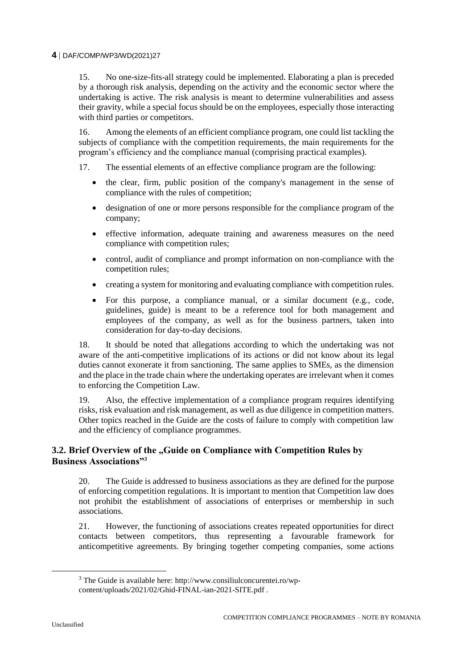15. No one-size-fits-all strategy could be implemented. Elaborating a plan is preceded by a thorough risk analysis, depending on the activity and the economic sector where the undertaking is active. The risk analysis is meant to determine vulnerabilities and assess their gravity, while a special focus should be on the employees, especially those interacting with third parties or competitors.

16. Among the elements of an efficient compliance program, one could list tackling the subjects of compliance with the competition requirements, the main requirements for the program's efficiency and the compliance manual (comprising practical examples).

- 17. The essential elements of an effective compliance program are the following:
	- the clear, firm, public position of the company's management in the sense of compliance with the rules of competition;
	- designation of one or more persons responsible for the compliance program of the company;
	- effective information, adequate training and awareness measures on the need compliance with competition rules;
	- control, audit of compliance and prompt information on non-compliance with the competition rules;
	- creating a system for monitoring and evaluating compliance with competition rules.
	- For this purpose, a compliance manual, or a similar document (e.g., code, guidelines, guide) is meant to be a reference tool for both management and employees of the company, as well as for the business partners, taken into consideration for day-to-day decisions.

18. It should be noted that allegations according to which the undertaking was not aware of the anti-competitive implications of its actions or did not know about its legal duties cannot exonerate it from sanctioning. The same applies to SMEs, as the dimension and the place in the trade chain where the undertaking operates are irrelevant when it comes to enforcing the Competition Law.

19. Also, the effective implementation of a compliance program requires identifying risks, risk evaluation and risk management, as well as due diligence in competition matters. Other topics reached in the Guide are the costs of failure to comply with competition law and the efficiency of compliance programmes.

# **3.2. Brief Overview of the "Guide on Compliance with Competition Rules by Business Associations"***<sup>3</sup>*

20. The Guide is addressed to business associations as they are defined for the purpose of enforcing competition regulations. It is important to mention that Competition law does not prohibit the establishment of associations of enterprises or membership in such associations.

21. However, the functioning of associations creates repeated opportunities for direct contacts between competitors, thus representing a favourable framework for anticompetitive agreements. By bringing together competing companies, some actions

 $3$  The Guide is available here: http://www.consiliulconcurentei.ro/wpcontent/uploads/2021/02/Ghid-FINAL-ian-2021-SITE.pdf .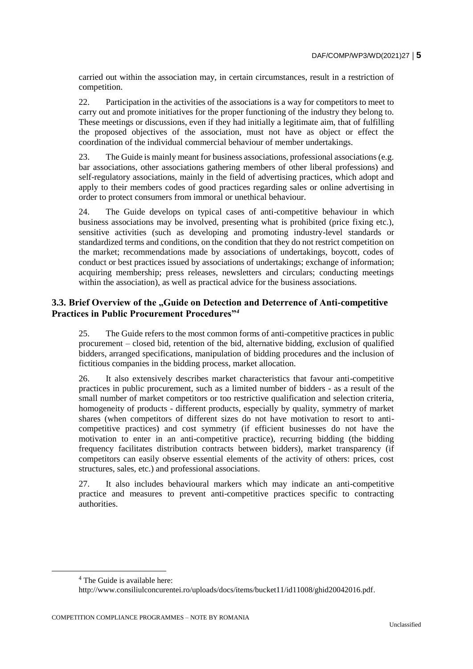carried out within the association may, in certain circumstances, result in a restriction of competition.

22. Participation in the activities of the associations is a way for competitors to meet to carry out and promote initiatives for the proper functioning of the industry they belong to. These meetings or discussions, even if they had initially a legitimate aim, that of fulfilling the proposed objectives of the association, must not have as object or effect the coordination of the individual commercial behaviour of member undertakings.

23. The Guide is mainly meant for business associations, professional associations (e.g. bar associations, other associations gathering members of other liberal professions) and self-regulatory associations, mainly in the field of advertising practices, which adopt and apply to their members codes of good practices regarding sales or online advertising in order to protect consumers from immoral or unethical behaviour.

24. The Guide develops on typical cases of anti-competitive behaviour in which business associations may be involved, presenting what is prohibited (price fixing etc.), sensitive activities (such as developing and promoting industry-level standards or standardized terms and conditions, on the condition that they do not restrict competition on the market; recommendations made by associations of undertakings, boycott, codes of conduct or best practices issued by associations of undertakings; exchange of information; acquiring membership; press releases, newsletters and circulars; conducting meetings within the association), as well as practical advice for the business associations.

# **3.3. Brief Overview of the ..Guide on Detection and Deterrence of Anti-competitive Practices in Public Procurement Procedures"***<sup>4</sup>*

25. The Guide refers to the most common forms of anti-competitive practices in public procurement – closed bid, retention of the bid, alternative bidding, exclusion of qualified bidders, arranged specifications, manipulation of bidding procedures and the inclusion of fictitious companies in the bidding process, market allocation.

26. It also extensively describes market characteristics that favour anti-competitive practices in public procurement, such as a limited number of bidders - as a result of the small number of market competitors or too restrictive qualification and selection criteria, homogeneity of products - different products, especially by quality, symmetry of market shares (when competitors of different sizes do not have motivation to resort to anticompetitive practices) and cost symmetry (if efficient businesses do not have the motivation to enter in an anti-competitive practice), recurring bidding (the bidding frequency facilitates distribution contracts between bidders), market transparency (if competitors can easily observe essential elements of the activity of others: prices, cost structures, sales, etc.) and professional associations.

27. It also includes behavioural markers which may indicate an anti-competitive practice and measures to prevent anti-competitive practices specific to contracting authorities.

<sup>4</sup> The Guide is available here:

http://www.consiliulconcurentei.ro/uploads/docs/items/bucket11/id11008/ghid20042016.pdf.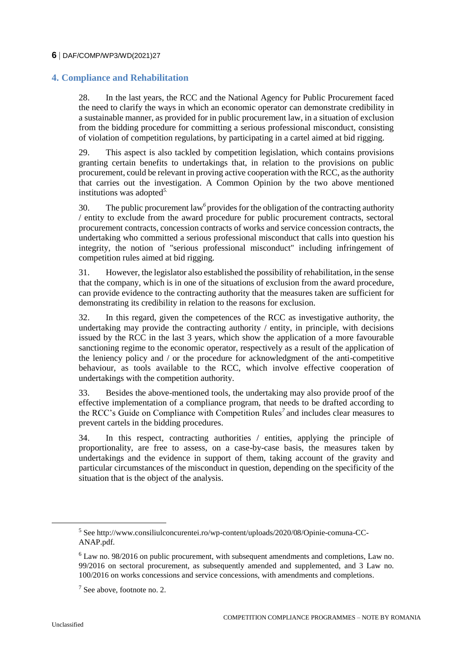# **4. Compliance and Rehabilitation**

28. In the last years, the RCC and the National Agency for Public Procurement faced the need to clarify the ways in which an economic operator can demonstrate credibility in a sustainable manner, as provided for in public procurement law, in a situation of exclusion from the bidding procedure for committing a serious professional misconduct, consisting of violation of competition regulations, by participating in a cartel aimed at bid rigging.

29. This aspect is also tackled by competition legislation, which contains provisions granting certain benefits to undertakings that, in relation to the provisions on public procurement, could be relevant in proving active cooperation with the RCC, as the authority that carries out the investigation. A Common Opinion by the two above mentioned institutions was adopted*5.*

30. The public procurement law*<sup>6</sup>* provides for the obligation of the contracting authority / entity to exclude from the award procedure for public procurement contracts, sectoral procurement contracts, concession contracts of works and service concession contracts, the undertaking who committed a serious professional misconduct that calls into question his integrity, the notion of "serious professional misconduct" including infringement of competition rules aimed at bid rigging.

31. However, the legislator also established the possibility of rehabilitation, in the sense that the company, which is in one of the situations of exclusion from the award procedure, can provide evidence to the contracting authority that the measures taken are sufficient for demonstrating its credibility in relation to the reasons for exclusion.

32. In this regard, given the competences of the RCC as investigative authority, the undertaking may provide the contracting authority / entity, in principle, with decisions issued by the RCC in the last 3 years, which show the application of a more favourable sanctioning regime to the economic operator, respectively as a result of the application of the leniency policy and / or the procedure for acknowledgment of the anti-competitive behaviour, as tools available to the RCC, which involve effective cooperation of undertakings with the competition authority.

33. Besides the above-mentioned tools, the undertaking may also provide proof of the effective implementation of a compliance program, that needs to be drafted according to the RCC's Guide on Compliance with Competition Rules*<sup>7</sup>* and includes clear measures to prevent cartels in the bidding procedures.

34. In this respect, contracting authorities / entities, applying the principle of proportionality, are free to assess, on a case-by-case basis, the measures taken by undertakings and the evidence in support of them, taking account of the gravity and particular circumstances of the misconduct in question, depending on the specificity of the situation that is the object of the analysis.

<sup>5</sup> See http://www.consiliulconcurentei.ro/wp-content/uploads/2020/08/Opinie-comuna-CC-ANAP.pdf.

<sup>6</sup> Law no. 98/2016 on public procurement, with subsequent amendments and completions, Law no. 99/2016 on sectoral procurement, as subsequently amended and supplemented, and 3 Law no. 100/2016 on works concessions and service concessions, with amendments and completions.

<sup>7</sup> See above, footnote no. 2.